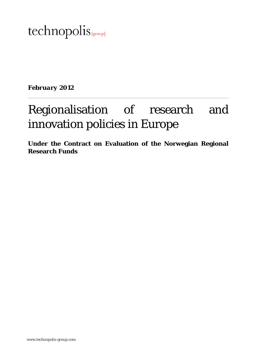

*February 2012*

# Regionalisation of research and innovation policies in Europe

**Under the Contract on Evaluation of the Norwegian Regional Research Funds**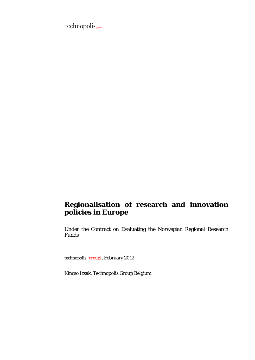technopolis **s** 

## **Regionalisation of research and innovation policies in Europe**

Under the Contract on Evaluating the Norwegian Regional Research Funds

technopolis |group|, February 2012

Kincso Izsak, Technopolis Group Belgium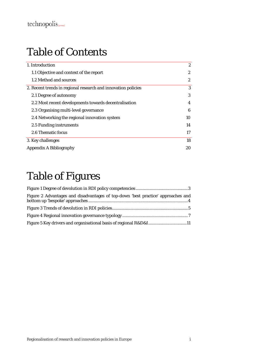## Table of Contents

| 1. Introduction                                               | $\boldsymbol{2}$ |
|---------------------------------------------------------------|------------------|
| 1.1 Objective and context of the report                       |                  |
| 1.2 Method and sources                                        | $\boldsymbol{2}$ |
| 2. Recent trends in regional research and innovation policies | 3                |
| 2.1 Degree of autonomy                                        | 3                |
| 2.2 Most recent developments towards decentralisation         | 4                |
| 2.3 Organising multi-level governance                         | 6                |
| 2.4 Networking the regional innovation system                 | 10               |
| 2.5 Funding instruments                                       | 14               |
| 2.6 Thematic focus                                            | 17               |
| 3. Key challenges                                             | 18               |
| <b>Appendix A Bibliography</b>                                | 20               |

## Table of Figures

| Figure 2 Advantages and disadvantages of top-down 'best practice' approaches and |
|----------------------------------------------------------------------------------|
|                                                                                  |
|                                                                                  |
| Figure 5 Key drivers and organisational basis of regional R&D&I11                |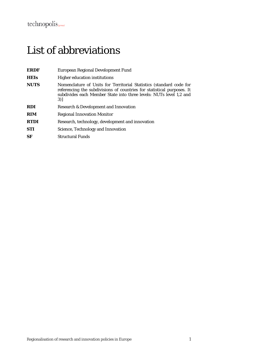## List of abbreviations

| <b>ERDF</b> | <b>European Regional Development Fund</b>                                                                                                                                                                                  |
|-------------|----------------------------------------------------------------------------------------------------------------------------------------------------------------------------------------------------------------------------|
| <b>HEIs</b> | <b>Higher education institutions</b>                                                                                                                                                                                       |
| <b>NUTS</b> | Nomenclature of Units for Territorial Statistics (standard code for<br>referencing the subdivisions of countries for statistical purposes. It<br>subdivides each Member State into three levels: NUTs level 1,2 and<br>3)] |
| <b>RDI</b>  | Research & Development and Innovation                                                                                                                                                                                      |
| <b>RIM</b>  | <b>Regional Innovation Monitor</b>                                                                                                                                                                                         |
| <b>RTDI</b> | Research, technology, development and innovation                                                                                                                                                                           |
| <b>STI</b>  | Science, Technology and Innovation                                                                                                                                                                                         |
| <b>SF</b>   | <b>Structural Funds</b>                                                                                                                                                                                                    |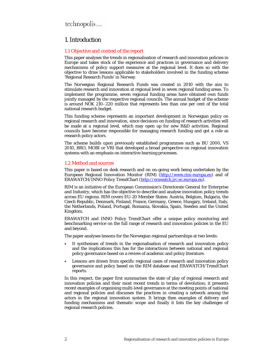### 1. Introduction

### 1.1 Objective and context of the report

This paper analyses the trends in regionalisation of research and innovation policies in Europe and takes stock of the experience and practices in governance and delivery mechanisms of policy support measures at the regional level. It does so with the objective to draw lessons applicable to stakeholders involved in the funding scheme 'Regional Research Funds' in Norway.

The Norwegian Regional Research Funds was created in 2010 with the aim to stimulate research and innovation at regional level in seven regional funding areas. To implement the programme, seven regional funding areas have obtained own funds jointly managed by the respective regional councils. The annual budget of the scheme is around NOK 210–220 million that represents less than one per cent of the total national research budget.

This funding scheme represents an important development in Norwegian policy on regional research and innovation, since decisions on funding of research activities will be made at a regional level, which may open up for new R&D activities. Regional councils have become responsible for managing research funding and got a role as research policy actors.

The scheme builds upon previously established programmes such as BU 2000, VS 2010, BRO, MOBI or VRI that developed a broad perspective on regional innovation systems with an emphasis on interactive learning processes.

#### 1.2 Method and sources

This paper is based on desk research and on on-going work being undertaken by the European Regional Innovation Monitor (RIM) [\(http://www.rim-europa.eu\)](http://www.rim-europa.eu/) and of ERAWATCH/INNO Policy TrendChart [\(http://erawatch.jrc.ec.europa.eu\)](http://erawatch.jrc.ec.europa.eu/).

RIM is an initiative of the European Commission's Directorate General for Enterprise and Industry, which has the objective to describe and analyse innovation policy trends across EU regions. RIM covers EU-20 Member States: Austria, Belgium, Bulgaria, the Czech Republic, Denmark, Finland, France, Germany, Greece, Hungary, Ireland, Italy, the Netherlands, Poland, Portugal, Romania, Slovakia, Spain, Sweden and the United Kingdom.

ERAWATCH and INNO Policy TrendChart offer a unique policy monitoring and benchmarking service on the full range of research and innovation policies in the EU and beyond.

The paper analyses lessons for the Norwegian regional partnerships at two levels:

- It synthesises of trends in the regionalisation of research and innovation policy and the implications this has for the interactions between national and regional policy governance based on a review of academic and policy literature.
- Lessons are drawn from specific regional cases of research and innovation policy governance and policy based on the RIM database and ERAWATCH/TrendChart reports.

In this respect, the paper first summarises the state of play of regional research and innovation policies and their most recent trends in terms of devolution; it presents recent examples of organising multi-level governance at the meeting points of national and regional policies and discusses the practices in creating a network among the actors in the regional innovation system. It brings then examples of delivery and funding mechanisms and thematic scope and finally it lists the key challenges of regional research policies.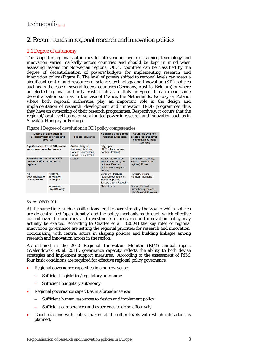## 2. Recent trends in regional research and innovation policies

### 2.1 Degree of autonomy

The scope for regional authorities to intervene in favour of science, technology and innovation varies markedly across countries and should be kept in mind when assessing lessons for Norwegian regions. OECD countries can be classified by the degree of decentralisation of powers/budgets for implementing research and innovation policy [\(Figure 1\)](#page-6-0). The level of powers shifted to regional levels can mean a significant control and resources of science, technology and innovation (STI) policies such as in the case of several federal countries (Germany, Austria, Belgium) or where an elected regional authority exists such as in Italy or Spain. It can mean some decentralisation such as in the case of France, the Netherlands, Norway or Poland, where both regional authorities play an important role in the design and implementation of research, development and innovation (RDI) programmes thus they have an ownership of their research programmes. Respectively, it occurs that the regional/local level has no or very limited power in research and innovation such as in Slovakia, Hungary or Portugal.

<span id="page-6-0"></span>Figure 1 Degree of devolution in RDI policy competencies

|                                                                         | Degree of devolution in<br><b>STI policy competences and</b><br>resources | <b>Federal countries</b>                                                                         | <b>Countries with elected</b><br>regional authorities                                                 | <b>Countries with non</b><br>elected regional level /<br>decentralised State<br>agencies |
|-------------------------------------------------------------------------|---------------------------------------------------------------------------|--------------------------------------------------------------------------------------------------|-------------------------------------------------------------------------------------------------------|------------------------------------------------------------------------------------------|
| <b>Significant control of STI powers</b><br>and/or resources by regions |                                                                           | Austria, Belgium,<br>Germany, Australia,<br>Canada, Switzerland,<br><b>United States, Brazil</b> | Italy, Spain<br>UK (Scotland, Wales,<br>Northern Ireland)                                             |                                                                                          |
| Some decentralisation of STI<br>powers and/or resources to<br>regions   |                                                                           | Mexico                                                                                           | France, Netherlands,<br>Poland, Sweden (pilot<br>regions), Denmark<br>(autonomous regions).<br>Norway | UK (English regions).<br>Sweden (except pilot<br>regions), Korea                         |
| No<br>decentralisation<br>of STI powers                                 | <b>Regional</b><br>innovation<br>strategies                               |                                                                                                  | Denmark, Portugal<br>(autonomous regions),<br>Slovak Republic,<br>Turkey, Czech Republic              | Hungary, Ireland.<br>Portugal (mainland)                                                 |
|                                                                         | <b>Innovation</b><br><b>Projects only</b>                                 |                                                                                                  | Chile, Japan                                                                                          | Greece, Finland,<br>Luxembourg, Iceland,<br>New Zealand, Slovenia                        |

#### Source: OECD, 2011

At the same time, such classifications tend to over-simplify the way to which policies are de-centralised 'operationally' and the policy mechanisms through which effective control over the priorities and investments of research and innovation policy may actually be exerted. According to Charles et al. (2004) the key roles of regional innovation governance are setting the regional priorities for research and innovation, coordinating with central actors in shaping policies and building linkages among research and innovation actors in the region.

As outlined in the 2010 Regional Innovation Monitor (RIM) annual report (Walendowski et al, 2011), governance capacity reflects the ability to both devise strategies and implement support measures. According to the assessment of RIM, four basic conditions are required for effective regional policy governance:

- Regional governance capacities in a narrow sense:
	- Sufficient legislative/regulatory autonomy
	- Sufficient budgetary autonomy
- Regional governance capacities in a broader sense:
	- Sufficient human resources to design and implement policy
	- Sufficient competences and experience to do so effectively
- Good relations with policy makers at the other levels with which interaction is planned.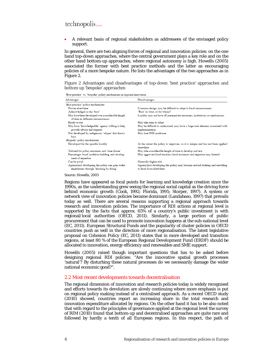• A relevant basis of regional stakeholders as addressees of the envisaged policy support.

In general, there are two aligning forces of regional and innovation policies: on the one hand top-down approaches, where the central government plays a key role and on the other hand bottom-up approaches, where regional autonomy is high. Howells (2005) associated the former with best practice methods and the latter as encouraging policies of a more bespoke nature. He lists the advantages of the two approaches as in [Figure 2.](#page-7-0)

<span id="page-7-0"></span>Figure 2 Advantages and disadvantages of top-down 'best practice' approaches and bottom up 'bespoke' approaches

'Best practice' vs. 'bespoke' policy mechanisms in regional innovation

| Advantages                                                                                  | Disadvantages                                                                                        |
|---------------------------------------------------------------------------------------------|------------------------------------------------------------------------------------------------------|
| 'Best practice' policy mechanisms                                                           |                                                                                                      |
| Proven elsewhere                                                                            | Common design, may be difficult to adapt to local circumstances                                      |
| Acknowledged as the 'best'                                                                  | 'Best' in what, or for whom?                                                                         |
| May have been developed over considerable length<br>of time in different circumstances      | Locality may not have all prerequisite resources, institutions or mechanisms                         |
| Ready to use                                                                                | May take time to adapt                                                                               |
| May have 'knowledgeable' agency willing to help<br>provide advice and support               | May be difficult to understand; may have a large tacit element associated with<br>implementation     |
| Not developed by indigenous 'clique' that knows<br>best                                     | May face NIH syndrome                                                                                |
| 'Bespoke' policy mechanisms                                                                 |                                                                                                      |
| Developed for the specific locality                                                         | At the outset the policy is unproven, as it is unique and has not been applied<br>elsewhere          |
| Tailored for policy resources and 'time-frame'                                              | May take considerable length of time to develop and test                                             |
| Encourages local coalition-building and develop-<br>ment of expertise                       | May aggravate local tensions; local resources and expertise may limited                              |
| Can be novel                                                                                | Generally higher risk                                                                                |
| Agency(ies) developing the policy can gain wider<br>experiences through 'learning-by-doing' | Agency(ies) developing the policy may become inward looking and unwilling<br>to learn from elsewhere |

Source: Howells, 2005

Regions have appeared as focal points for learning and knowledge creation since the 1990s, as the understanding grew seeing the regional social capital as the driving force behind economic growth (Cook, 1992; Florida, 1995; Storper, 1997). A system or network view of innovation policies became dominant (Landabaso, 1997) that prevails today as well. There are several reasons supporting a regional approach towards research and innovation policies. The importance of RDI actions at regional level is supported by the facts that approx. 65% of a country's public investment is with regional/local authorities (OECD, 2011). Similarly, a large portion of public procurement that can be used to promote innovation happens at the sub-national level (EC, 2011). European Structural Funds and the popularity of cluster policies in OECD countries push as well in the direction of more regionalisation. The latest legislative proposal on Cohesion Policy (EC, 2011) states that in more developed and transition regions, at least 80 % of the European Regional Development Fund (ERDF) should be allocated to innovation, energy efficiency and renewables and SME support.

Howells (2005) raised though important questions that has to be asked before designing regional RDI policies: "Are the innovative spatial growth processes 'natural'? By disturbing these natural processes do we necessarily damage the wider national economic good?".

#### 2.2 Most recent developments towards decentralisation

The regional dimension of innovation and research policies today is widely recognised and efforts towards its devolution are slowly continuing where more emphasis is put on regional policy making instead of a centralised approach. As a recent OECD study (2010) showed, countries report an increasing share in the total research and innovation expenditure allocated by regions. On the other hand it has to be also noted that with regard to the principles of governance applied at the regional level the survey of RIM (2010) found that bottom-up and decentralised approaches are quite rare and followed by hardly a tenth of all European regions. In this respect, the path of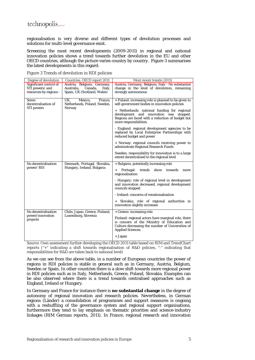regionalisation is very diverse and different types of devolution processes and solutions for multi-level governance exist.

Screening the most recent developments (2009-2011) in regional and national innovation policies shows a trend towards further devolution in the EU and other OECD countries, although the picture varies country by country. [Figure 3](#page-8-0) summarises the latest developments in this regard:

| Degree of devolution                                                | Countries, OECD report 2011                                                                  | Most recent trends (2011)                                                                                                                                                                                                                                                                                                                                                                                                                                                                                                                                                                                    |
|---------------------------------------------------------------------|----------------------------------------------------------------------------------------------|--------------------------------------------------------------------------------------------------------------------------------------------------------------------------------------------------------------------------------------------------------------------------------------------------------------------------------------------------------------------------------------------------------------------------------------------------------------------------------------------------------------------------------------------------------------------------------------------------------------|
| Significant control of<br>STI powers/ and<br>resources by regions - | Austria, Belgium, Germany,<br>Canada,<br>Australia,<br>Italy,<br>Spain, UK (Scotland, Wales) | Austria, Germany, Belgium, Italy - No substantial<br>change in the level of devolution, remaining<br>strongly autonomous                                                                                                                                                                                                                                                                                                                                                                                                                                                                                     |
| Some<br>decentralisation of<br><b>STI</b> powers                    | UK.<br>Mexico.<br>France,<br>Netherlands, Poland, Sweden,<br>Norway                          | + Poland: increasing role is planned to be given to<br>self-government bodies in innovation policies<br>+ Netherlands: national funding for regional<br>development and innovation was stopped.<br>Regions are faced with a reduction of budget but<br>more responsibilities.<br>- England: regional development agencies to be<br>replaced by Local Enterprise Partnerships with<br>reduced budget and power<br>+ Norway: regional councils receiving power to<br>administrate Regional Research Funds<br>Sweden: responsibility for innovation is to a large<br>extent decentralised to the regional level |
| No decentralisation<br>power/RIS                                    | Denmark, Portugal, Slovakia,<br>Hungary, Ireland, Bulgaria                                   | + Bulgaria: potentially increasing role<br>trends<br>show towards<br>Portugal:<br>$^{+}$<br>more<br>regionalisation<br>- Hungary: role of regional level in development<br>and innovation decreased, regional development<br>councils stopped<br>- Ireland: concerns of renationalisation<br>+ Slovakia: role of regional authorities in<br>innovation slightly increases                                                                                                                                                                                                                                    |
| No decentralisation<br>power/innovation<br>projects                 | Chile, Japan, Greece, Finland,<br>Luxemburg, Slovenia                                        | + Greece: increasing role<br>Finland: regional actors have marginal role, there<br>is concern of the Ministry of Education and<br>Culture decreasing the number of Universities of<br><b>Applied Sciences.</b><br>+ Japan                                                                                                                                                                                                                                                                                                                                                                                    |

<span id="page-8-0"></span>Figure 3 Trends of devolution in RDI policies

Source: Own assessment further developing the OECD 2011 table based on RIM and TrendChart reports ("+" indicating a shift towards regionalisation of R&D policies, "-" indicating that responsibilities for R&D are taken back to national level)

As we can see from the above table, in a number of European countries the power of regions in RDI policies is stable in general such as in Germany, Austria, Belgium, Sweden or Spain. In other countries there is a slow shift towards more regional power in RDI policies such as in Italy, Netherlands, Greece, Poland, Slovakia. Examples can be also observed where there is a trend towards centralised approaches such as England, Ireland or Hungary.

In Germany and France for instance there is **no substantial change** in the degree of autonomy of regional innovation and research policies. Nevertheless, in German regions (Länder) a consolidation of programmes and support measures is ongoing with a reshuffling of the governance system and regional support organisations, furthermore they tend to lay emphasis on thematic priorities and science-industry linkages (RIM German reports, 2011). In France, regional research and innovation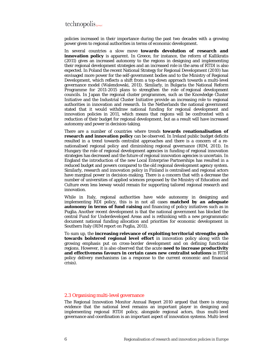policies increased in their importance during the past two decades with a growing power given to regional authorities in terms of economic development.

In several countries a slow move **towards devolution of research and innovation policy** is apparent. In Greece, for instance, the reform of Kallikratis (2011) gives an increased autonomy to the regions in designing and implementing their regional development strategies and an increased role in the area of RTDI is also expected. In Poland the recent National Strategy for Regional Development (2010) has envisaged more power for the self-government bodies and to the Ministry of Regional Development, which reflects a shift from a top-down approach towards a multi-level governance model (Walendowski, 2011). Similarly, in Bulgaria the National Reform Programme for 2011-2015 plans to strengthen the role of regional development councils. In Japan the regional cluster programmes, such as the Knowledge Cluster Initiative and the Industrial Cluster Initiative provide an increasing role to regional authorities in innovation and research. In the Netherlands the national government stated that it would withdraw national funding for regional development and innovation policies in 2011, which means that regions will be confronted with a reduction of their budget for regional development, but as a result will have increased autonomy and power in decision-taking.

There are a number of countries where trends **towards renationalisation of research and innovation policy** can be observed. In Ireland public budget deficits resulted in a trend towards centralist approaches and there is a concern of a renationalised regional policy and diminishing regional governance (RIM, 2011). In Hungary the role of regional development agencies in funding of regional innovation strategies has decreased and the future of regional innovation agencies is uncertain. In England the introduction of the new Local Enterprise Partnerships has resulted in a reduced budget and powers compared to the old regional development agency system. Similarly, research and innovation policy in Finland is centralised and regional actors have marginal power in decision-making. There is a concern that with a decrease the number of universities of applied sciences proposed by the Ministry of Education and Culture even less leeway would remain for supporting tailored regional research and innovation.

While in Italy, regional authorities have wide autonomy in designing and implementing RDI policy, this is in not all cases **matched by an adequate autonomy in terms of fund raising** and financing of policy initiatives such as in Puglia. Another recent development is that the national government has blocked the central Fund for Underdeveloped Areas and is rethinking with a new programmatic document national funding allocation and priorities for economic development in Southern Italy (RIM report on Puglia, 2011).

To sum up, the **increasing relevance of exploiting territorial strengths push towards bolstered regional level effort** in innovation policy along with the growing emphasis put on cross-border development and on defining functional regions. However, it is also observed that the acute **need to increase productivity and effectiveness favours in certain cases new centralist solutions** in RTDI policy delivery mechanisms (as a response to the current economic and financial crisis).

#### 2.3 Organising multi-level governance

The Regional Innovation Monitor Annual Report 2010 argued that there is strong evidence that the national level remains an important player in designing and implementing regional RTDI policy, alongside regional actors, thus multi-level governance and coordination is an important aspect of innovation systems. Multi-level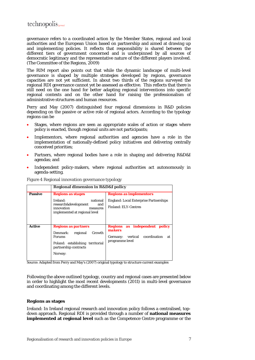governance refers to a coordinated action by the Member States, regional and local authorities and the European Union based on partnership and aimed at drawing up and implementing policies. It reflects that responsibility is shared between the different tiers of government concerned and is underpinned by all sources of democratic legitimacy and the representative nature of the different players involved. (The Committee of the Regions, 2009)

The RIM report also points out that while the dynamic landscape of multi-level governance is shaped by multiple strategies developed by regions, governance capacities are not yet sufficient. In about two thirds of the regions surveyed the regional RDI governance cannot yet be assessed as effective. This reflects that there is still need on the one hand for better adapting regional interventions into specific regional contexts and on the other hand for raising the professionalism of administrative structures and human resources.

Perry and May (2007) distinguished four regional dimensions in R&D policies depending on the passive or active role of regional actors. According to the typology regions can be

- Stages, where regions are seen as appropriate scales of action or stages where policy is enacted, though regional units are not participants;
- Implementors, where regional authorities and agencies have a role in the implementation of nationally-defined policy initiatives and delivering centrally conceived priorities;
- Partners, where regional bodies have a role in shaping and delivering R&D&I agendas; and
- Independent policy-makers, where regional authorities act autonomously in agenda-setting.

Figure 4 Regional innovation governance typology

|                | <b>Regional dimension in R&amp;D&amp;I policy</b>                                                                                                     |                                                                                                                 |  |
|----------------|-------------------------------------------------------------------------------------------------------------------------------------------------------|-----------------------------------------------------------------------------------------------------------------|--|
| <b>Passive</b> | <b>Regions as stages</b><br>Ireland:<br>national<br>research&development<br>and<br>innovation<br>measures<br>implemented at regional level            | <b>Regions as implementors</b><br><b>England: Local Enterprise Partnerships</b><br><b>Finland: ELY-Centres</b>  |  |
| <b>Active</b>  | <b>Regions as partners</b><br>Growth<br>regional<br>Denmark:<br><b>Forums</b><br>Poland: establishing territorial<br>partnership contracts<br>Norway: | <b>Regions as independent policy</b><br>makers<br>coordination<br>vertical<br>Germany:<br>at<br>programme level |  |

Source: Adapted from Perry and May's (2007) original typology to structure current examples

Following the above outlined typology, country and regional cases are presented below in order to highlight the most recent developments (2011) in multi-level governance and coordinating among the different levels.

#### **Regions as stages**

*Ireland*: In Ireland regional research and innovation policy follows a centralised, topdown approach. Regional RDI is provided through a number of **national measures implemented at regional level** such as the Competence Centre programme or the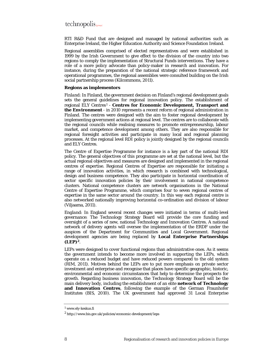RTI R&D Fund that are designed and managed by national authorities such as Enterprise Ireland, the Higher Education Authority and Science Foundation Ireland.

Regional assemblies comprised of elected representatives and were established in 1999 by the Irish Government to give effect to the division of the country into two regions to comply the implementation of Structural Funds interventions. They have a role of a more policy advocate than policy-maker in research and innovation. For instance, during the preparation of the national strategic reference framework and operational programmes, the regional assemblies were consulted building on the Irish social partnership process (Kilcommons, 2011).

#### **Regions as implementors**

*Finland*: In Finland, the government decision on Finland's regional development goals sets the general guidelines for regional innovation policy. The establishment of regional ELY Centres<sup>[1](#page-11-0)</sup> - **Centres for Economic Development, Transport and the Environment** - in 2010 represents a recent reform of regional administration in Finland. The centres were designed with the aim to foster regional development by implementing government actions at regional level. The centres are to collaborate with the regional councils while realising measures to promote entrepreneurship, labour market, and competence development among others. They are also responsible for regional foresight activities and participate in many local and regional planning processes. At the regional level RDI policy is jointly designed by the regional councils and ELY Centres.

The Centre of Expertise Programme for instance is a key part of the national RDI policy. The general objectives of this programme are set at the national level, but the actual regional objectives and measures are designed and implemented in the regional centres of expertise. Regional Centres of Expertise are responsible for initiating a range of innovation activities, in which research is combined with technological, design and business competence. They also participate in horizontal coordination of sector specific innovation policies by their involvement in national competence clusters. National competence clusters are network organisations in the National Centre of Expertise Programme, which comprises four to seven regional centres of expertise in the same sector around the country. In this way each regional centre is also networked nationally improving horizontal co-ordination and division of labour (Viljaama, 2011).

*England*: In England several recent changes were initiated in terms of multi-level governance: The Technology Strategy Board will provide the core funding and oversight of a series of new, national Technology and Innovation Centres. A national network of delivery agents will oversee the implementation of the ERDF under the auspices of the Department for Communities and Local Government. Regional development agencies are being replaced by **Local Enterprise Partnerships (LEP)[2](#page-11-1)**.

LEPs were designed to cover functional regions than administrative ones. As it seems the government intends to become more involved in supporting the LEPs, which operate on a reduced budget and have reduced powers compared to the old system (RIM, 2011). Motives behind the LEPs are to put more emphasis on private sector investment and enterprise and recognise that places have specific geographic, historic, environmental and economic circumstances that help to determine the prospects for growth. Regarding business innovation, the Technology Strategy Board will be the main delivery body, including the establishment of an elite **network of Technology and Innovation Centres**, following the example of the German Fraunhofer Institutes (BIS, 2010). The UK government had approved 31 Local Enterprise

<span id="page-11-0"></span><sup>1</sup> www.ely-keskus.fi

<span id="page-11-1"></span> $^2$ http://www.bis.gov.uk/policies/economic-development/leps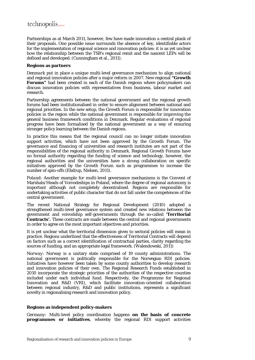Partnerships as at March 2011, however, few have made innovation a central plank of their proposals. One possible issue surrounds the absence of key, identifiable actors for the implementation of regional science and innovation policies: it is as yet unclear how the relationship between the TSB's regional remit and the nascent LEPs will be defined and developed. (Cunningham et al., 2011).

#### **Regions as partners**

*Denmark* put in place a unique multi-level governance mechanism to align national and regional innovation policies after a major reform in 2007. New regional **"Growth Forums"** had been created in each of the Danish regions where policymakers can discuss innovation policies with representatives from business, labour market and research.

Partnership agreements between the national government and the regional growth forums had been institutionalised in order to ensure alignment between national and regional priorities. In the new setup, the Growth Forum is responsible for innovation policies in the region while the national government is responsible for improving the general business framework conditions in Denmark. Regular evaluations of regional progress have been formalised by the national government as a way of ensuring stronger policy learning between the Danish regions.

In practice this means that the regional council can no longer initiate innovation support activities, which have not been approved by the Growth Forum. The governance and financing of universities and research institutes are not part of the responsibilities of the regional authority in Denmark. Regional Growth Forums have no formal authority regarding the funding of science and technology, however, the regional authorities and the universities have a strong collaboration on specific initiatives approved by the Growth Forum such as programmes to increase the number of spin-offs (Ebdrup, Nielsen, 2011).

*Poland:* Another example for multi-level governance mechanisms is the Convent of Marshals/Heads of Voivodeships in Poland, where the degree of regional autonomy is important although not completely decentralised. Regions are responsible for undertaking activities of public character that do not fall under the competences of the central government.

The recent National Strategy for Regional Development (2010) adopted a strengthened multi-level governance system and created new relations between the government and voivodship self-governments through the so-called **'Territorial Contracts'.** These contracts are made between the central and regional governments in order to agree on the most important objectives and priorities.

It is yet unclear what the territorial dimension given to sectoral policies will mean in practice. Regions underlined that the effectiveness of Territorial Contracts will depend on factors such as a correct identification of contractual parties, clarity regarding the sources of funding, and an appropriate legal framework. (Walendowski, 2011)

*Norway*: Norway is a unitary state comprised of 19 county administrations. The national government is politically responsible for the Norwegian RDI policies. Initiatives have however been taken by some county authorities to develop research and innovation policies of their own. The Regional Research Funds established in 2010 incorporate the strategic priorities of the authorities of the respective counties included under each individual fund. Respectively, the Programme for Regional Innovation and R&D (VRI), which facilitate innovation-oriented collaboration between regional industry, R&D and public institutions, represents a significant novelty in regionalising research and innovation policy.

#### **Regions as independent policy-makers**

*Germany:* Multi-level policy coordination happens **on the basis of concrete programmes or initiatives**, whereby the regional RDI support activities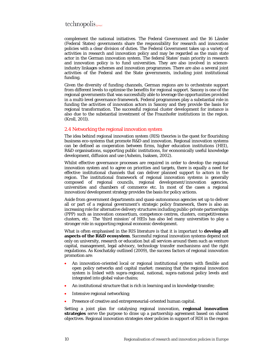complement the national initiatives. The Federal Government and the 16 Länder (Federal States) governments share the responsibility for research and innovation policies with a clear division of duties. The Federal Government takes up a variety of activities in research and innovation policy and may be regarded as the main state actor in the German innovation system. The federal States' main priority in research and innovation policy is to fund universities. They are also involved in scienceindustry linkages schemes and innovation programmes. There are also a several joint activities of the Federal and the State governments, including joint institutional funding.

Given the diversity of funding channels, German regions are to orchestrate support from different levels to optimise the benefits for regional support. Saxony is one of the regional governments that was successfully able to leverage the opportunities provided in a multi-level governance framework. Federal programmes play a substantial role in funding the activities of innovation actors in Saxony and they provide the basis for regional transformation. The successful regional cluster development for instance is also due to the substantial investment of the Fraunhofer institutions in the region. (Kroll, 2011).

#### 2.4 Networking the regional innovation system

The idea behind regional innovation system (RIS) theories is the quest for flourishing business eco-systems that promote R&D and innovation. Regional innovation systems can be defined as cooperation between firms, higher education institutions (HEI), R&D organisations, supporting public institutions, for economically useful knowledge development, diffusion and use (Asheim, Isaksen, 2002).

Whilst effective governance processes are required in order to develop the regional innovation system and to agree on priorities and targets, there is equally a need for effective institutional channels that can deliver planned support to actors in the region. The institutional framework of regional innovation systems is generally composed of regional councils, regional development/innovation agencies, universities and chambers of commerce etc. In most of the cases a regional innovation/development strategy provides the basis for policy actions.

Aside from government departments and quasi-autonomous agencies set up to deliver all or part of a regional government's strategic policy framework, there is also an increasing role for alternative delivery structures including public-private partnerships (PPP) such as innovation consortium, competence centres, clusters, competitiveness clusters, etc. The 'third mission' of HEIs has also led many universities to play a stronger role in supporting regional economic development.

What is often emphasised in the RIS literature is that it is important to **develop all aspects of the R&D ecosystem**. Successful regional innovation systems depend not only on university, research or education but all services around them such as venture capital, management, legal advisory, technology transfer mechanisms and the right regulations. As Koschatzky outlined (2009), the success factors of regional innovation promotion are:

- An innovation-oriented local or regional institutional system with flexible and open policy networks and capital market: meaning that the regional innovation system is linked with supra-regional, national, supra-national policy levels and integrated into global value chains;
- An institutional structure that is rich in learning and in knowledge transfer;
- Intensive regional networking;
- Presence of creative and entrepreneurial-oriented human capital.

Setting a joint plan for catalysing regional innovation, **regional innovation strategies** serve the purpose to draw up a partnership agreement based on shared objectives. Regional innovation strategies steer policies in support of RDI in the region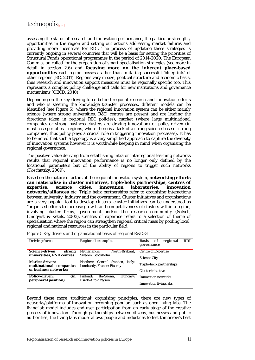assessing the status of research and innovation performance, the particular strengths, opportunities in the region and setting out actions addressing market failures and providing more incentives for RDI. The process of updating these strategies is currently ongoing in several countries that will be a basis for setting the priorities of Structural Funds operational programmes in the period of 2014-2020. The European Commission called for the preparation of smart specialisation strategies (see more in detail in section 2.6) and **focusing more on the inherent place-based opportunities** each region possess rather than imitating successful 'blueprints' of other regions (EC, 2011). Regions vary in size, political structure and economic basis, thus research and innovation support measures must be regionally specific too. This represents a complex policy challenge and calls for new institutions and governance mechanisms (OECD, 2010).

Depending on the key driving force behind regional research and innovation efforts and who is steering the knowledge transfer processes, different models can be identified (see Figure 5), where the regional innovation system can be either mainly science (where strong universities, R&D centres are present and are leading the directions taken in regional RDI policies), market (where large multinational companies or strong business clusters are driving innovation) or policy-driven (in most case peripheral regions, where there is a lack of a strong science-base or strong companies, thus policy plays a crucial role in triggering innovation processes). It has to be noted that such a typology is a very simplified approach to capture the diversity of innovation systems however it is worthwhile keeping in mind when organising the regional governance.

The positive value deriving from establishing intra or interregional learning networks results that regional innovation performance is no longer only defined by the locational parameters but of the ability of regions to trigger such networks (Koschatzky, 2009).

Based on the nature of actors of the regional innovation system, **networking efforts can materialise in cluster initiatives, triple-helix partnerships, centres of expertise, science cities, innovation laboratories, innovation networks/alliances** etc. Triple helix partnerships refer to organising interactions between university, industry and the government. Cluster initiatives and organisations are a very popular tool to develop clusters, cluster initiatives can be understood as "organised efforts to increase growth and competitiveness of clusters within a region, involving cluster firms, government and/or the research community (Sölvell, Lindqvist & Ketels, 2003). Centres of expertise refers to a selection of theme of specialisation where the region can strengthen regional critical mass by pooling local, regional and national resources in the particular field.

| <b>Driving force</b>                                                      | <b>Regional examples</b>                                        | <b>RDI</b><br>regional<br>of<br><b>Basis</b><br>governance  |
|---------------------------------------------------------------------------|-----------------------------------------------------------------|-------------------------------------------------------------|
| <b>Science-driven:</b><br>strong<br>universities, R&D centres             | Netherlands:<br>North-Brabant.<br>Sweden: Stockholm             | <b>Centre of Expertise</b><br><b>Science City</b>           |
| <b>Market-driven:</b><br>multinational companies<br>or business networks: | Northern Central Sweden,<br>Italy:<br>Lombardy, France: Picardy | Triple-helix partnerships<br>Cluster initiative             |
| <b>Policy-driven:</b><br>(in<br>peripheral position)                      | Itä-Suomi.<br>Finland:<br>Hungary:<br>Eszak-Alfold region       | <b>Innovation networks</b><br><b>Innovation living labs</b> |

Figure 5 Key drivers and organisational basis of regional R&D&I

Beyond these more 'traditional' organising principles, there are new types of networks/platforms of innovation becoming popular, such as open living labs. The living lab model includes end-user participation from an early stage of the creative process of innovation. Through partnerships between citizens, businesses and public authorities, the living labs model allows people and industries to test tomorrow's best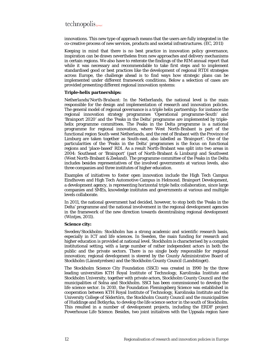innovations. This new type of approach means that the users are fully integrated in the co-creative process of new services, products and societal infrastructures. (EC, 2011)

Keeping in mind that there is no best practice in innovation policy governance, inspiration can be drawn nevertheless from new approaches and delivery mechanisms in certain regions. We also have to reiterate the findings of the RIM annual report that while it was necessary and recommendable to take first steps and to implement standardised good or best practices like the development of regional RTDI strategies across Europe, the challenge ahead is to find ways how strategic plans can be implemented under different framework conditions. Below a selection of cases are provided presenting different regional innovation systems:

#### **Triple-helix partnerships:**

*Netherlands/North-Brabant*: In the Netherlands, the national level is the main responsible for the design and implementation of research and innovation policies. The general model of regional governance is a triple helix partnership: for instance the regional innovation strategy programmes 'Operational programme-South' and 'Brainport 2020' and the 'Peaks in the Delta' programme are implemented by triplehelix programme committees. The Peaks in the Delta programme is a national programme for regional innovation, where West North-Brabant is part of the functional region South-west Netherlands, and the rest of Brabant with the Province of Limburg are taken together as South-east, also labelled as 'Brainport'. One of the particularities of the 'Peaks in the Delta' programmes is the focus on functional regions and 'place-based' RDI. As a result North-Brabant was split into two areas in 2004: Southeast or 'Brainport' (part of North-Brabant & Limburg) and Southwest (West North-Brabant & Zeeland). The programme committee of the Peaks in the Delta includes besides representatives of the involved governments at various levels, also three companies and three institutes of higher education.

Examples of initiatives to foster open innovation include the High Tech Campus Eindhoven and High Tech Automotive Campus in Helmond. Brainport Development, a development agency, is representing horizontal triple helix collaboration, since large companies and SMEs, knowledge institutes and governments at various and multiple levels collaborate.

In 2011, the national government had decided, however, to stop both the 'Peaks in the Delta' programme and the national involvement in the regional development agencies in the framework of the new direction towards decentralising regional development (Wintjes, 2011).

#### **Science city:**

*Sweden/Stockholm*: Stockholm has a strong academic and scientific research basis, especially in ICT and life sciences. In Sweden, the main funding for research and higher education is provided at national level. Stockholm is characterised by a complex institutional setting, with a large number of rather independent actors in both the public and the private sectors. There is no single body responsible for regional innovation; regional development is steered by the County Administrative Board of Stockholm (Länsstyrelsen) and the Stockholm County Council (Landstinget).

The Stockholm Science City Foundation (SSCI) was created in 1990 by the three leading universities KTH Royal Institute of Technology, Karolinska Institute and Stockholm University, together with private actors, Stockholm County Council and the municipalities of Solna and Stockholm. SSCI has been commissioned to develop the life science sector. In 2010, the Foundation Flemingsberg Science was established in cooperation between KTH Royal Institute of Technology, Karolinska Institute and the University College of Södertörn, the Stockholm County Council and the municipalities of Huddinge and Botkyrka, to develop the life science sector in the south of Stockholm. This resulted in a number of development projects, including the ERDF project Powerhouse Life Science. Besides, two joint initiatives with the Uppsala region have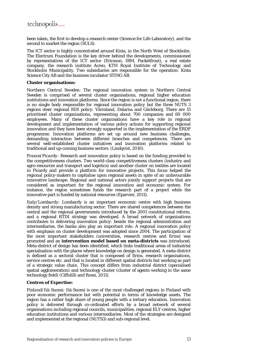been taken, the first to develop a research center (Science for Life Laboratory), and the second to market the region (SULS).

The ICT sector is highly concentrated around Kista, in the North West of Stockholm. The Electrum Foundation is the key driver behind the developments, commissioned by representatives of the ICT sector (Ericsson, IBM, Packetfront), a real estate company, the research institute Acreo, KTH Royal Institute of Technology and Stockholm Municipality. Two subsidiaries are responsible for the operation: Kista Science City AB and the business incubator STING AB.

#### **Cluster organisations:**

*Northern Central Sweden*: The regional innovation system in Northern Central Sweden is comprised of several cluster organisations, regional higher education institutions and innovation platforms. Since the region is not a functional region, there is no single body responsible for regional innovation policy but the three NUTS 3 regions steer regional RDI policy: Värmland, Dalarna and Gävleborg. There are 15 prioritised cluster organisations, representing about 700 companies and 60 000 employees. Many of these cluster organisations have a key role in regional development and implementation of various policy actions for supporting regional innovation and they have been strongly supported in the implementation of the ERDF programme. Innovation platforms are set up around new business challenges, demanding interaction between different branches and competences. There are several well-established cluster initiatives and innovation platforms related to traditional and up-coming business sectors. (Lindqvist, 2010).

*France/Picardy:* Research and innovation policy is based on the funding provided to the competitiveness clusters. Two world-class competitiveness clusters (industry and agro-resources and transport and logistics) and another cluster on textiles are located in Picardy and provide a platform for innovative projects. This focus helped the regional policy-makers to capitalise upon regional assets in spite of an unfavourable innovative landscape. Regional and national actors jointly support projects that are considered as important for the regional innovation and economic system. For instance, the region sometimes funds the research part of a project while the innovative part is funded by national resources (Eparvier, 2011).

*Italy/Lombardy*: Lombardy is an important economic centre with high business density and strong manufacturing sector. There are shared competences between the central and the regional governments introduced by the 2001 constitutional reform, and a regional RTDI strategy was developed. A broad network of organisations contributes to delivering innovation policy: beside the regional administration and intermediaries, the banks also play an important role. A regional innovation policy with emphasis on cluster development was adopted since 2004. The participation of the most important stakeholders (universities, research centres and firms) was promoted and an **intervention model based on meta-districts** was introduced. Meta-district of design has been identified, which links traditional areas of industrial specialisation with the places where knowledge on design is generated. A meta-district is defined as a sectoral cluster that is composed of firms, research organisations, service centres etc. and that is located in different spatial districts but working as part of a strategic value chain. This concept differs from industrial district (specialised spatial agglomeration) and technology cluster (cluster of agents working in the same technology field) (Ciffolilli and Rossi, 2011).

#### **Centres of Expertise:**

*Finland/Itä-Suomi*: Itä-Suomi is one of the most challenged regions in Finland with poor economic performance but with potential in terms of knowledge assets. The region has a rather high share of young people with a tertiary education. Innovation policy is delivered through co-ordinated efforts by a broad network of several organisations including regional councils, municipalities, regional ELY-centres, higher education institutions and various intermediaries. Most of the strategies are designed and implemented at the regional (NUTS3) and sub-regional level.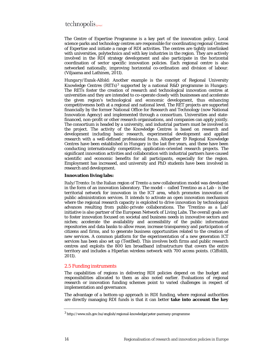The Centre of Expertise Programme is a key part of the innovation policy. Local science parks and technology centres are responsible for coordinating regional Centres of Expertise and initiate a range of RDI activities. The centres are tightly interlinked with universities, polytechnics and with key industries in the region. They are actively involved in the RDI strategy development and also participate in the horizontal coordination of sector specific innovation policies. Each regional centre is also networked nationally, improving horizontal co-ordination and division of labour. (Viljaama and Lathinen, 2011).

*Hungary/Eszak-Alfold*: Another example is the concept of Regional University Knowledge Centres  $(RETs)^3$  $(RETs)^3$  supported by a national R&D programme in Hungary. The RETs foster the creation of research and technological innovation centres at universities and they are intended to co-operate closely with businesses and accelerate the given region's technological and economic development, thus enhancing competitiveness both at a regional and national level. The RET projects are supported financially by the former National Office for Research and Technology (now National Innovation Agency) and implemented through a consortium. Universities and statefinanced, non-profit or other research organisations, and companies can apply jointly. The consortium is headed by a university, and industrial partners must be involved in the project. The activity of the Knowledge Centres is based on research and development including basic research, experimental development and applied research with a well-defined professional focus. Altogether 19 Regional Knowledge Centres have been established in Hungary in the last five years, and these have been conducting internationally competitive, application-oriented research projects. The significant innovation activities and collaboration with industrial partners have caused scientific and economic benefits for all participants, especially for the region. Employment has increased, and university and PhD students have been involved in research and development.

#### **Innovation living labs:**

*Italy/Trento*: In the Italian region of Trento a new collaboration model was developed in the form of an innovation laboratory. The model – called Trentino as a Lab - is the territorial network for innovation in the ICT area, which promotes innovation of public administration services. It intends to activate an open innovation mechanism where the regional research capacity is exploited to drive innovation by technological advances resulting from public-private collaborations. The 'Trentino as a Lab' initiative is also partner of the European Network of Living Labs. The overall goals are to foster innovation focused on societal and business needs in innovative sectors and niches; accelerate the availability and accessibility of the public information repositories and data banks to allow reuse, increase transparency and participation of citizens and firms, and to generate business opportunities related to the creation of new services. A common platform for the experimentation of a new generation ICT services has been also set up (TestBed). This involves both firms and public research centres and exploits the 800 km broadband infrastructure that covers the entire territory and includes a Hiperlan wireless network with 700 access points. (Ciffolilli, 2011).

#### 2.5 Funding instruments

The capabilities of regions in delivering RDI policies depend on the budget and responsibilities allocated to them as also noted earlier. Evaluations of regional research or innovation funding schemes point to varied challenges in respect of implementation and governance.

The advantage of a bottom-up approach in RDI funding, where regional authorities are directly managing RDI funds is that it can better **take into account the key** 

<span id="page-17-0"></span><sup>3</sup> http://www.nih.gov.hu/english/regional-knowledge/peter-pazmany-programme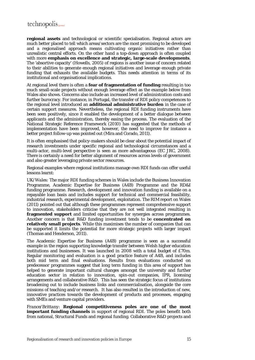**regional assets** and technological or scientific specialisation. Regional actors are much better placed to tell which areas/sectors are the most promising to be developed and a regionalised approach means cultivating organic initiatives rather than unrealistic central efforts. On the other hand a top-down approach is often coupled with more **emphasis on excellence and strategic, large-scale developments**. The 'absortive capacity' (Howells, 2005) of regions is another issue of concern related to their abilities to generate enough regional initiatives and leverage enough private funding that exhausts the available budgets. This needs attention in terms of its institutional and organisational implications.

At regional level there is often a **fear of fragmentation of funding** resulting in too much small-scale projects without enough leverage effect as the example below from Wales also shows. Concerns also include an increased level of administration costs and further burocracy. For instance, in Portugal, the transfer of RDI policy competences to the regional level introduced an **additional administrative burden** in the case of certain support measures. Nevertheless, the regional RDI funding instruments have been seen positively, since it enabled the development of a better dialogue between applicants and the administration, thereby easing the process. The evaluation of the National Strategic Reference Framework (2010) has suggested that the methods of implementation have been improved, however, the need to improve for instance a better project follow-up was pointed out (Mira and Corado, 2011).

It is often emphasised that policy-makers should be clear about the potential impact of research investments under specific regional and technological circumstances and a multi-actor, multi-level perspective is seen as more advantageous (EC JRC, 2008). There is certainly a need for better alignment of resources across levels of government and also greater leveraging private sector resources.

Regional examples where regional institutions manage own RDI funds can offer useful lessons learnt:

*UK/Wales:* The major RDI funding schemes in Wales include the Business Innovation Programme, Academic Expertise for Business (A4B) Programme and the RD&I funding programme. Research, development and innovation funding is available on a repayable loan basis and includes support for technical and commercial feasibility, industrial research, experimental development, exploitation. The RIM report on Wales (2011) pointed out that although these programmes represent comprehensive support to innovation, stakeholders criticise that they are not well integrated resulting in **fragmented support** and limited opportunities for synergies across programmes. Another concern is that R&D funding investment tends to be **concentrated on relatively small projects**. While this maximises the number of companies that can be supported it limits the potential for more strategic projects with larger impact (Thomas and Henderson, 2011).

The Academic Expertise for Business (A4B) programme is seen as a successful example in the region supporting knowledge transfer between Welsh higher education institutions and businesses. It was launched in 2008 with a total budget of £70m. Regular monitoring and evaluation is a good practice feature of A4B, and includes both mid term and final evaluations. Results from evaluations conducted on predecessor programmes suggest that long term funding in this area of support has helped to generate important cultural changes amongst the university and further education sector in relation to innovation, spin-out companies, IPR, licensing arrangements and collaborative R&D. This has seen the strategic focus of institutions broadening out to include business links and commercialisation, alongside the core missions of teaching and/or research. It has also resulted in the introduction of new, innovative practices towards the development of products and processes, engaging with SMEs and venture capital providers.

*France/Brittany*: **Regional competitiveness poles are one of the most important funding channels** in support of regional RDI. The poles benefit both from national, Structural Funds and regional funding. Collaborative R&D projects and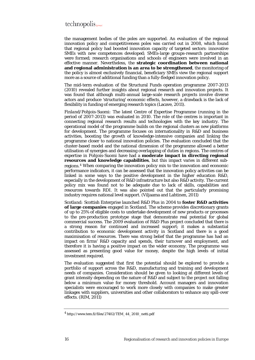the management bodies of the poles are supported. An evaluation of the regional innovation policy and competitiveness poles was carried out in 2008, which found that regional policy had boosted innovation capacity of targeted sectors: innovative SMEs with new competences developed; SMEs-large groups-research partnerships were formed; research organisations and schools of engineers were involved in an effective manner. Nevertheless, the **strategic coordination between national and regional administration is an area to be strengthened**, the monitoring of the policy is almost exclusively financial, beneficiary SMEs view the regional support more as a source of additional funding than a fully-fledged innovation policy.

The mid-term evaluation of the Structural Funds operation programme 2007-2013 (2010) revealed further insights about regional research and innovation projects. It was found that although multi-annual large-scale research projects involve diverse actors and produce 'structuring' economic effects, however, a drawback is the lack of flexibility in funding of emerging research topics (Lacave, 2011).

*Finland/Pohjois-Suomi:* The latest Centre of Expertise Programme (running in the period of 2007-2013) was evaluated in 2010. The role of the centres is important in connecting regional research results and technologies with the key industry. The operational model of the programme builds on the regional clusters as new platforms for development. The programme focuses on internationality in R&D and business activities, boosting the growth of knowledge-intensive companies and linking the programme closer to national innovation policies. The evaluation concluded that the cluster-based model and the national dimension of the programme allowed a better utilisation of synergies and decreasing overlapping of duties in regions. The centres of expertise in Pohjois-Suomi have had a **moderate impact in directing regional resources and knowledge capabilities**, but this impact varies in different subregions.[4](#page-19-0) When comparing the innovation policy mix to the innovation and economic performance indicators, it can be assessed that the innovation policy activities can be linked in some ways to the positive development in the higher education R&D, especially in the development of R&D infrastructure but also R&D activity. The current policy mix was found not to be adequate due to lack of skills, capabilities and resources towards RDI. It was also pointed out that the particularly promising industry requires national level support. (Viljaama and Lahtinen, 2011)

*Scotland:* Scottish Enterprise launched R&D Plus in 2004 to **foster R&D activities of large companies** engaged in Scotland. The scheme provides discretionary grants of up to 25% of eligible costs to undertake development of new products or processes to the pre-production prototype stage that demonstrate real potential for global commercial success. The 2009 evaluation of R&D Plus project concluded that there is a strong reason for continued and increased support; it makes a substantial contribution to economic development activity in Scotland and there is a good maximisation of resources. There was strong belief that the programme has had an impact on firms' R&D capacity and spends, their turnover and employment, and therefore it is having a positive impact on the wider economy. The programme was assessed as presenting good value for money, despite the high levels of initial investment required.

The evaluation suggested that first the potential should be explored to provide a portfolio of support across the R&D, manufacturing and training and development needs of companies. Consideration should be given to looking at different levels of grant intensity depending on the nature of R&D and subject to the project not falling below a minimum value for money threshold. Account managers and innovation specialists were encouraged to work more closely with companies to make greater linkages with suppliers, universities and other collaborators to enhance any spill-over effects. (RIM, 2011)

<span id="page-19-0"></span><sup>4</sup> http://www.tem.fi/files/27402/TEM\_44\_2010\_netti.pdf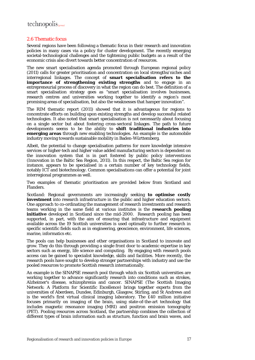### 2.6 Thematic focus

Several regions have been following a thematic focus in their research and innovation policies in many cases via a policy for cluster development. The recently emerging societal-technological challenges and the tightening public budgets as a result of the economic crisis also divert towards better concentration of resources.

The new smart specialisation agenda promoted through European regional policy (2011) calls for greater prioritisation and concentration on local strengths/niches and interregional linkages. The concept of **smart specialisation refers to the importance of strengthening existing strengths** and to engage in an entrepreneurial process of discovery in what the region can do best. The definition of a smart specialisation strategy goes as "smart specialisation involves businesses, research centres and universities working together to identify a region's most promising areas of specialisation, but also the weaknesses that hamper innovation".

The RIM thematic report (2011) showed that it is advantageous for regions to concentrate efforts on building upon existing strengths and develop successful related technologies. It also noted that smart specialisation is not necessarily about focusing on a single sector but about fostering cross-sectoral linkages. The path to future developments seems to be the ability to **shift traditional industries into emerging areas** through new enabling technologies. An example is the automobile industry moving towards sustainable mobility in Baden-Württemberg.

Albeit, the potential to change specialisation patterns for more knowledge intensive services or higher-tech and higher value added manufacturing sectors is dependent on the innovation system that is in part fostered by public policy interventions (Innovation in the Baltic Sea Region, 2011). In this respect, the Baltic Sea region for instance, appears to be specialised in a certain number of key technology fields, notably ICT and biotechnology. Common specialisations can offer a potential for joint interregional programmes as well.

Two examples of thematic prioritisation are provided below from Scotland and Flanders.

*Scotland*: Regional governments are increasingly seeking **to optimise costly investment** into research infrastructure in the public and higher education sectors. One approach to co-ordinating the management of research investments and research teams working in the same field at various institutes is the **research pooling initiative** developed in Scotland since the mid-2000. Research pooling has been supported, in part, with the aim of ensuring that infrastructure and equipment available across the 19 Scottish universities is used optimally to further research in specific scientific fields such as in engineering, geoscience, environment, life sciences, marine, informatics etc.

The pools can help businesses and other organisations in Scotland to innovate and grow. They do this through providing a single front door to academic expertise in key sectors such as energy, life science and computing. By engaging with research pools access can be gained to specialist knowledge, skills and facilities. More recently, the research pools have sought to develop stronger partnerships with industry and use the pooled resources to promote Scottish research internationally.

An example is the SINAPSE research pool through which six Scottish universities are working together to advance significantly research into conditions such as strokes, Alzheimer's disease, schizophrenia and cancer. SINAPSE (The Scottish Imaging Network: A Platform for Scientific Excellence) brings together experts from the universities of Aberdeen, Dundee, Edinburgh, Glasgow, Stirling, and St Andrews and is the world's first virtual clinical imaging laboratory. The £40 million initiative focuses primarily on imaging of the brain, using state-of-the-art technology that includes magnetic resonance imaging (MRI) and positron emission tomography (PET). Pooling resources across Scotland, the partnership combines the collection of different types of brain information such as structure, function and brain waves, and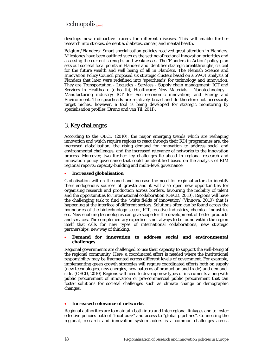develops new radioactive tracers for different diseases. This will enable further research into strokes, dementia, diabetes, cancer, and mental health.

*Belgium/Flanders:* Smart specialisation policies received great attention in Flanders. Milestones have been outlined such as the setting of regional innovation priorities and assessing the current strengths and weaknesses. The 'Flanders in Action' policy plan sets out societal focal points in Flanders and identifies strategic breakthroughs, crucial for the future wealth and well being of all in Flanders. The Flemish Science and Innovation Policy Council proposed six strategic clusters based on a SWOT analysis of Flanders that later were redefined into 'spearheads' for technology and innovation. They are Transportation - Logistics - Services - Supply chain management; ICT and Services in Healthcare (e-health); Healthcare; New Materials - Nanotechnology - Manufacturing industry; ICT for Socio-economic innovation; and Energy and Environment. The spearheads are relatively broad and do therefore not necessarily target niches, however, a tool is being developed for strategic monitoring by specialisation profiles (Bruno and van Til, 2011).

### 3. Key challenges

According to the OECD (2010), the major emerging trends which are reshaping innovation and which require regions to react through their RDI programmes are: the increased globalisation; the rising demand for innovation to address social and environmental challenges; and the increased relevance of networks to the innovation process. Moreover, two further key challenges lie ahead in regional research and innovation policy governance that could be identified based on the analysis of RIM regional reports: capacity-building and multi-level governance.

#### • **Increased globalisation**

Globalisation will on the one hand increase the need for regional actors to identify their endogenous sources of growth and it will also open new opportunities for organising research and production across borders, favouring the mobility of talent and the opportunities for international collaboration (OECD, 2010). Regions will have the challenging task to find the 'white fields of innovation' (Vinnova, 2010) that is happening at the interface of different sectors. Solutions often can be found across the boundaries of the biotechnology sector, ICT, creative industries, chemical industries etc. New enabling technologies can give scope for the development of better products and services. The complementary expertise is not always to be found within the region itself that calls for new types of international collaborations, new strategic partnerships, new way of thinking.

#### • **Demand for innovation to address social and environmental challenges**

Regional governments are challenged to use their capacity to support the well-being of the regional community. Here, a coordinated effort is needed where the institutional responsibility may be fragmented across different levels of government. For example, implementing green growth strategies will require coordinated efforts both on supply (new technologies, new energies, new patterns of production and trade) and demandside. (OECD, 2010) Regions will need to develop new types of instruments along with public procurement of innovation or pre-commercial public procurement that can foster solutions for societal challenges such as climate change or demographic changes.

#### • **Increased relevance of networks**

Regional authorities are to maintain both intra and interregional linkages and to foster effective policies both of "local buzz" and access to "global pipelines". Connecting the regional, research and innovation system actors is a common challenges across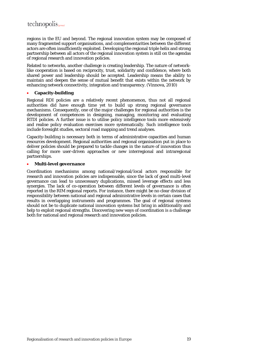regions in the EU and beyond. The regional innovation system may be composed of many fragmented support organisations, and complementarities between the different actors are often insufficiently exploited. Developing the regional triple helix and strong partnership between all actors of the regional innovation system is still on the agendas of regional research and innovation policies.

Related to networks, another challenge is creating leadership. The nature of networklike cooperation is based on reciprocity, trust, solidarity and confidence, where both shared power and leadership should be accepted. Leadership means the ability to maintain and deepen the sense of mutual benefit that exists within the network by enhancing network connectivity, integration and transparency. (Vinnova, 2010)

#### • **Capacity-building**

Regional RDI policies are a relatively recent phenomenon, thus not all regional authorities did have enough time yet to build up strong regional governance mechanisms. Consequently, one of the major challenges for regional authorities is the development of competences in designing, managing, monitoring and evaluating RTDI policies. A further issue is to utilise policy intelligence tools more extensively and realise policy evaluation exercises more systematically. Such intelligence tools include foresight studies, sectoral road mapping and trend analyses.

Capacity-building is necessary both in terms of administrative capacities and human resources development. Regional authorities and regional organisation put in place to deliver policies should be prepared to tackle changes in the nature of innovation thus calling for more user-driven approaches or new interregional and intraregional partnerships.

#### • **Multi-level governance**

Coordination mechanisms among national/regional/local actors responsible for research and innovation policies are indispensable, since the lack of good multi-level governance can lead to unnecessary duplications, missed leverage effects and less synergies. The lack of co-operation between different levels of governance is often reported in the RIM regional reports. For instance, there might be no clear division of responsibility between national and regional administrative levels in certain cases that results in overlapping instruments and programmes. The goal of regional systems should not be to duplicate national innovation systems but bring in additionality and help to exploit regional strengths. Discovering new ways of coordination is a challenge both for national and regional research and innovation policies.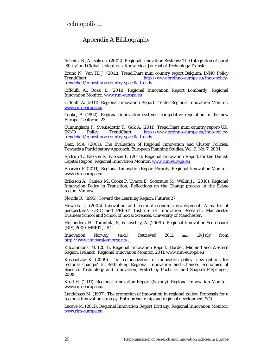## Appendix A Bibliography

Asheim, B., A. Isaksen. (2002). Regional Innovation Systems: The Integration of Local 'Sticky' and Global 'Ubiquitous' Knowledge. Journal of Technology Transfer.

Bruno N., Van Til J. (2011). TrendChart mini country report Belgium. INNO Policy<br>TrendChart. http://www.projnno-europe.eu/inno-policy[http://www.proinno-europe.eu/inno-policy](http://www.proinno-europe.eu/inno-policy-trendchart/repository/country-specific-trends)[trendchart/repository/country-specific-trends](http://www.proinno-europe.eu/inno-policy-trendchart/repository/country-specific-trends)

Ciffolilli A., Rossi L. (2011). Regional Innovation Report Lombardy. Regional Innovation Monitor. [www.rim-europa.eu](http://www.rim-europa.eu/)

Ciffolilli A. (2011). Regional Innovation Report Trento. Regional Innovation Monitor. [www.rim-europa.eu](http://www.rim-europa.eu/)

Cooke, P. (1992). Regional innovation systems: competitive regulation in the new Europe. Geoforum 23.

Cunningham P., Sveinsdottir T., Gok A. (2011). TrendChart mini country report/UK.<br>INNO Policy TrendChart. http://www.proinno-europe.eu/inno-policy-INNO Policy TrendChart. [http://www.proinno-europe.eu/inno-policy](http://www.proinno-europe.eu/inno-policy-trendchart/repository/country-specific-trends)[trendchart/repository/country-specific-trends](http://www.proinno-europe.eu/inno-policy-trendchart/repository/country-specific-trends)

Diez, M.A. (2001). The Evaluation of Regional Innovation and Cluster Policies: Towards a Participatory Approach, European Planning Studies, Vol. 9, No. 7, 2001.

Epdrup T., Nielsen S., Nielsen L. (2011). Regional Innovation Report for the Danish Capital Region. Regional Innovation Monitor[. www.rim-europa.eu](http://www.rim-europa.eu/)

Eparvier P. (2011). Regional Innovation Report Picardy. Regional Innovation Monitor. www.rim-europa.eu

Eriksson A., Caniëls M., Cooke P, Uyarra E., Sotarauta M., Wallin J., (2010). Regional Innovation Policy in Transition, Reflections on the Change process in the Skåne region, Vinnova.

Florida R. (1995). Toward the Learning Region. Futures 27

Howells, J. (2005) Innovation and regional economic development: A matter of perspective?, CRIC and PREST, Institute of Innovation Research, Manchester Business School and School of Social Sciences, University of Manchester.

Hollanders, H., Tarantola, S., & Loschky, A. (2009 ). Regional Innovation Scoreboard (RIS) 2009. MERIT, JRC.

Innovation Norway. (n.d.). Retrieved 2011 йил 19-July from [http://www.innovasjonnorge.no/.](http://www.innovasjonnorge.no/)

Kilcommons. M. (2011). Regional Innovation Report (Border, Midland and Western Region, Ireland). Regional Innovation Monitor. 2011. www.rim-europa.eu

Koschatzky K. (2009). The regionalization of innovation policy: new options for regional change? In Rethinking Regional Innovation and Change, Economics of Science, Technology and Innovation, Edited by Fuchs G. and Shapira P.Springer, 2009.

Kroll H. (2011). Regional Innovation Report (Saxony). Regional Innovation Monitor. www.rim-europa.eu**.**

Landabaso M. (1997). The promotion of innovation in regional policy: Proposals for a regional innovation strategy. Entrepreneurship and regional development 9(1).

Lacave M. (2011). Regional Innovation Report Brittany. Regional Innovation Monitor. [www.rim-europa.eu.](http://www.rim-europa.eu/)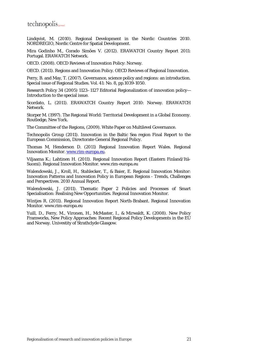Lindqvist, M. (2010). Regional Development in the Nordic Countries 2010. NORDREGIO, Nordic Centre for Spatial Development.

Mira Godinho M., Corado Simões V. (2012). ERAWATCH Country Report 2011: Portugal. ERAWATCH Network.

OECD. (2008). OECD Reviews of Innovation Policy: Norway.

OECD. (2011). Regions and Innovation Policy. OECD Reviews of Regional Innovation.

Perry, B. and May, T. (2007). Governance, science policy and regions: an introduction. Special issue of Regional Studies. Vol. 41: No. 8, pp.1039-1050.

Research Policy 34 (2005) 1123–1127 Editorial Regionalization of innovation policy— Introduction to the special issue.

Scordato, L. (2011). ERAWATCH Country Report 2010: Norway. ERAWATCH Network.

Storper M. (1997). The Regional World: Territorial Development in a Global Economy. Routledge, New York.

The Committee of the Regions, (2009). White Paper on Multilevel Governance.

Technopolis Group (2011). Innovation in the Baltic Sea region Final Report to the European Commission, Directorate-General Regional Policy.

Thomas M, Henderson D. (2011) Regional Innovation Report Wales. Regional Innovation Monitor. [www.rim-europa.eu.](http://www.rim-europa.eu/)

Viljaama K.; Lahtinen H. (2011). Regional Innovation Report (Eastern Finland/Itä-Suomi). Regional Innovation Monitor. www.rim-europa.eu

Walendowski, J., Kroll, H., Stahlecker, T., & Baier, E. Regional Innovation Monitor: Innovation Patterns and Innovation Policy in European Regions - Trends, Challenges and Perspectives. 2010 Annual Report.

Walendowski, J. (2011). Thematic Paper 2 Policies and Processes of Smart Specialisation: Realising New Opportunities. Regional Innovation Monitor.

Wintjes R. (2011). Regional Innovation Report North-Brabant. Regional Innovation Monitor. www.rim-europa.eu

Yuill, D., Ferry, M., Vironen, H., McMaster, I., & Mirwaldt, K. (2008). New Policy Framworks, New Policy Approaches: Recent Regional Policy Developments in the EU and Norway. Univestity of Strathclyde Glasgow.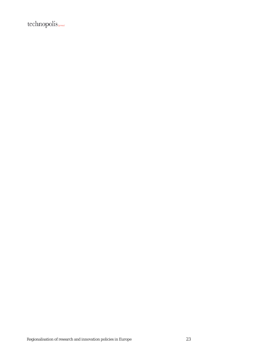$technopolis_{\text{\tiny{[group]}}}$